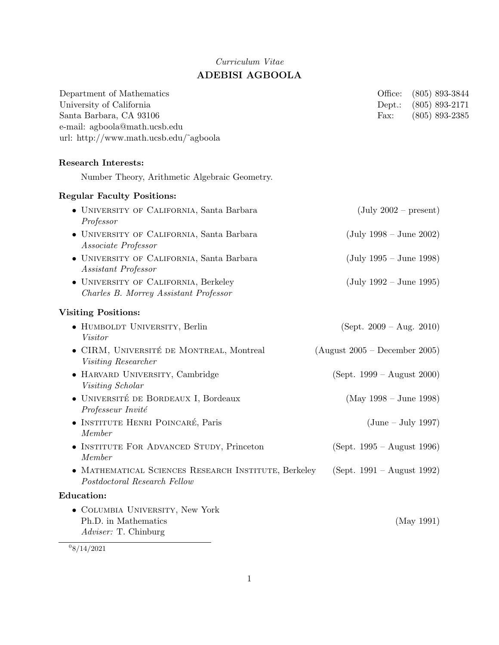# Curriculum Vitae ADEBISI AGBOOLA

| Department of Mathematics<br>University of California<br>Santa Barbara, CA 93106<br>e-mail: agboola@math.ucsb.edu<br>url: http://www.math.ucsb.edu/~agboola |                                 | Office:<br>$Dept.$ :<br>Fax:              | $(805)$ 893-3844<br>$(805)$ 893-2171<br>$(805) 893 - 2385$ |
|-------------------------------------------------------------------------------------------------------------------------------------------------------------|---------------------------------|-------------------------------------------|------------------------------------------------------------|
| <b>Research Interests:</b>                                                                                                                                  |                                 |                                           |                                                            |
| Number Theory, Arithmetic Algebraic Geometry.                                                                                                               |                                 |                                           |                                                            |
| <b>Regular Faculty Positions:</b>                                                                                                                           |                                 |                                           |                                                            |
| • UNIVERSITY OF CALIFORNIA, Santa Barbara<br>Professor                                                                                                      |                                 | $(\text{July } 2002 - \text{present})$    |                                                            |
| • UNIVERSITY OF CALIFORNIA, Santa Barbara<br>Associate Professor                                                                                            |                                 | $(\text{July } 1998 - \text{June } 2002)$ |                                                            |
| • UNIVERSITY OF CALIFORNIA, Santa Barbara<br>Assistant Professor                                                                                            |                                 | $(July 1995 - June 1998)$                 |                                                            |
| • UNIVERSITY OF CALIFORNIA, Berkeley<br>Charles B. Morrey Assistant Professor                                                                               |                                 | $(\text{July } 1992 - \text{June } 1995)$ |                                                            |
| <b>Visiting Positions:</b>                                                                                                                                  |                                 |                                           |                                                            |
| • HUMBOLDT UNIVERSITY, Berlin<br>Visitor                                                                                                                    | $(Sept. 2009 - Aug. 2010)$      |                                           |                                                            |
| • CIRM, UNIVERSITÉ DE MONTREAL, Montreal<br>Visiting Researcher                                                                                             | $(August 2005 - December 2005)$ |                                           |                                                            |
| · HARVARD UNIVERSITY, Cambridge<br>Visiting Scholar                                                                                                         | $(Sept. 1999 - August 2000)$    |                                           |                                                            |
| · UNIVERSITÉ DE BORDEAUX I, Bordeaux<br>Professeur Invité                                                                                                   |                                 | $(May 1998 - June 1998)$                  |                                                            |
| • INSTITUTE HENRI POINCARÉ, Paris<br>Member                                                                                                                 |                                 | $(June - July 1997)$                      |                                                            |
| INSTITUTE FOR ADVANCED STUDY, Princeton<br>Member                                                                                                           | $(Sept. 1995 - August 1996)$    |                                           |                                                            |
| • MATHEMATICAL SCIENCES RESEARCH INSTITUTE, Berkeley<br>Postdoctoral Research Fellow                                                                        | (Sept. $1991 -$ August 1992)    |                                           |                                                            |
| <b>Education:</b>                                                                                                                                           |                                 |                                           |                                                            |
| • COLUMBIA UNIVERSITY, New York<br>Ph.D. in Mathematics<br>Adviser: T. Chinburg                                                                             |                                 |                                           | (May 1991)                                                 |

 $^{0}8/14/2021$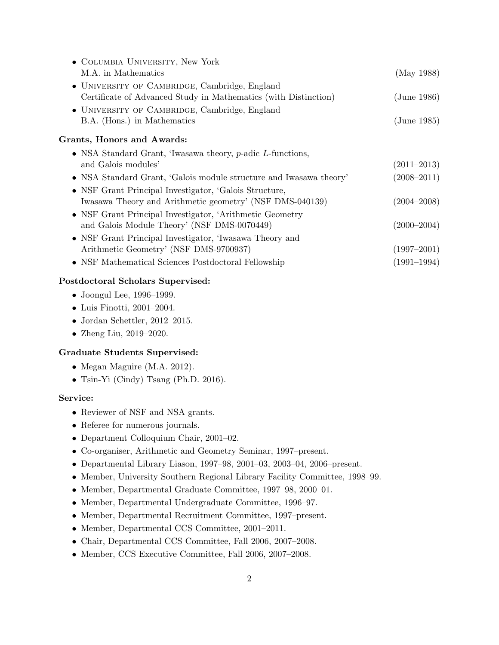| • COLUMBIA UNIVERSITY, New York                                    |                 |
|--------------------------------------------------------------------|-----------------|
| M.A. in Mathematics                                                | (May 1988)      |
| • UNIVERSITY OF CAMBRIDGE, Cambridge, England                      |                 |
| Certificate of Advanced Study in Mathematics (with Distinction)    | (June 1986)     |
| • UNIVERSITY OF CAMBRIDGE, Cambridge, England                      |                 |
| B.A. (Hons.) in Mathematics                                        | (June 1985)     |
| Grants, Honors and Awards:                                         |                 |
| • NSA Standard Grant, 'Iwasawa theory, $p$ -adic L-functions,      |                 |
| and Galois modules'                                                | $(2011 - 2013)$ |
| • NSA Standard Grant, 'Galois module structure and Iwasawa theory' | $(2008 - 2011)$ |
| • NSF Grant Principal Investigator, 'Galois Structure,             |                 |
| Iwasawa Theory and Arithmetic geometry' (NSF DMS-040139)           | $(2004 - 2008)$ |
| • NSF Grant Principal Investigator, 'Arithmetic Geometry           |                 |
| and Galois Module Theory' (NSF DMS-0070449)                        | $(2000 - 2004)$ |
| • NSF Grant Principal Investigator, 'Iwasawa Theory and            |                 |
| Arithmetic Geometry' (NSF DMS-9700937)                             | $(1997 - 2001)$ |
| • NSF Mathematical Sciences Postdoctoral Fellowship                | $(1991 - 1994)$ |

# Postdoctoral Scholars Supervised:

- Joongul Lee, 1996–1999.
- Luis Finotti, 2001–2004.
- Jordan Schettler, 2012–2015.
- Zheng Liu, 2019–2020.

# Graduate Students Supervised:

- Megan Maguire (M.A. 2012).
- Tsin-Yi (Cindy) Tsang (Ph.D. 2016).

### Service:

- Reviewer of NSF and NSA grants.
- Referee for numerous journals.
- Department Colloquium Chair, 2001–02.
- Co-organiser, Arithmetic and Geometry Seminar, 1997–present.
- Departmental Library Liason, 1997–98, 2001–03, 2003–04, 2006–present.
- Member, University Southern Regional Library Facility Committee, 1998–99.
- Member, Departmental Graduate Committee, 1997–98, 2000–01.
- Member, Departmental Undergraduate Committee, 1996–97.
- Member, Departmental Recruitment Committee, 1997–present.
- Member, Departmental CCS Committee, 2001–2011.
- Chair, Departmental CCS Committee, Fall 2006, 2007–2008.
- Member, CCS Executive Committee, Fall 2006, 2007–2008.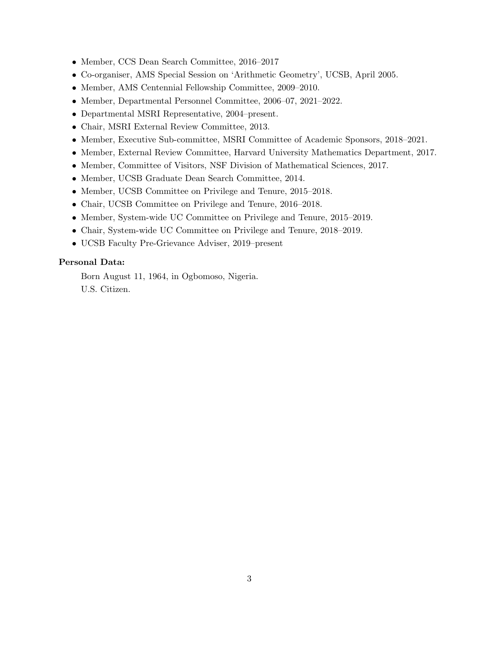- Member, CCS Dean Search Committee, 2016–2017
- Co-organiser, AMS Special Session on 'Arithmetic Geometry', UCSB, April 2005.
- Member, AMS Centennial Fellowship Committee, 2009–2010.
- Member, Departmental Personnel Committee, 2006–07, 2021–2022.
- Departmental MSRI Representative, 2004–present.
- Chair, MSRI External Review Committee, 2013.
- Member, Executive Sub-committee, MSRI Committee of Academic Sponsors, 2018–2021.
- Member, External Review Committee, Harvard University Mathematics Department, 2017.
- Member, Committee of Visitors, NSF Division of Mathematical Sciences, 2017.
- Member, UCSB Graduate Dean Search Committee, 2014.
- Member, UCSB Committee on Privilege and Tenure, 2015–2018.
- Chair, UCSB Committee on Privilege and Tenure, 2016–2018.
- Member, System-wide UC Committee on Privilege and Tenure, 2015–2019.
- Chair, System-wide UC Committee on Privilege and Tenure, 2018–2019.
- UCSB Faculty Pre-Grievance Adviser, 2019–present

## Personal Data:

Born August 11, 1964, in Ogbomoso, Nigeria. U.S. Citizen.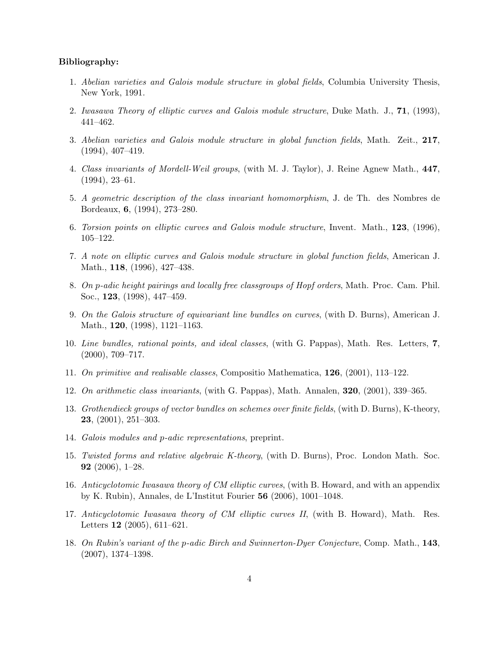#### Bibliography:

- 1. Abelian varieties and Galois module structure in global fields, Columbia University Thesis, New York, 1991.
- 2. Iwasawa Theory of elliptic curves and Galois module structure, Duke Math. J., 71, (1993), 441–462.
- 3. Abelian varieties and Galois module structure in global function fields, Math. Zeit., 217, (1994), 407–419.
- 4. Class invariants of Mordell-Weil groups, (with M. J. Taylor), J. Reine Agnew Math., 447, (1994), 23–61.
- 5. A geometric description of the class invariant homomorphism, J. de Th. des Nombres de Bordeaux, 6, (1994), 273–280.
- 6. Torsion points on elliptic curves and Galois module structure, Invent. Math., 123, (1996), 105–122.
- 7. A note on elliptic curves and Galois module structure in global function fields, American J. Math., 118, (1996), 427–438.
- 8. On p-adic height pairings and locally free classgroups of Hopf orders, Math. Proc. Cam. Phil. Soc., 123, (1998), 447–459.
- 9. On the Galois structure of equivariant line bundles on curves, (with D. Burns), American J. Math., 120, (1998), 1121–1163.
- 10. Line bundles, rational points, and ideal classes, (with G. Pappas), Math. Res. Letters, 7, (2000), 709–717.
- 11. On primitive and realisable classes, Compositio Mathematica, 126, (2001), 113–122.
- 12. On arithmetic class invariants, (with G. Pappas), Math. Annalen, 320, (2001), 339–365.
- 13. Grothendieck groups of vector bundles on schemes over finite fields, (with D. Burns), K-theory, 23, (2001), 251–303.
- 14. Galois modules and p-adic representations, preprint.
- 15. Twisted forms and relative algebraic K-theory, (with D. Burns), Proc. London Math. Soc. 92 (2006), 1–28.
- 16. Anticyclotomic Iwasawa theory of CM elliptic curves, (with B. Howard, and with an appendix by K. Rubin), Annales, de L'Institut Fourier 56 (2006), 1001–1048.
- 17. Anticyclotomic Iwasawa theory of CM elliptic curves II, (with B. Howard), Math. Res. Letters 12 (2005), 611–621.
- 18. On Rubin's variant of the p-adic Birch and Swinnerton-Dyer Conjecture, Comp. Math., 143, (2007), 1374–1398.